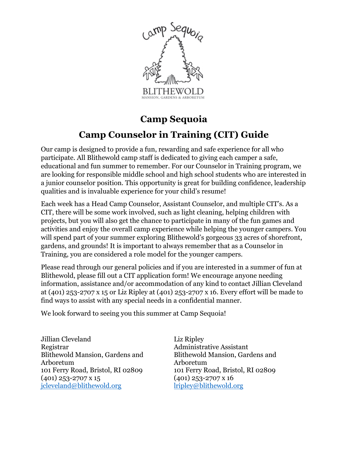

# **Camp Sequoia**

# **Camp Counselor in Training (CIT) Guide**

Our camp is designed to provide a fun, rewarding and safe experience for all who participate. All Blithewold camp staff is dedicated to giving each camper a safe, educational and fun summer to remember. For our Counselor in Training program, we are looking for responsible middle school and high school students who are interested in a junior counselor position. This opportunity is great for building confidence, leadership qualities and is invaluable experience for your child's resume!

Each week has a Head Camp Counselor, Assistant Counselor, and multiple CIT's. As a CIT, there will be some work involved, such as light cleaning, helping children with projects, but you will also get the chance to participate in many of the fun games and activities and enjoy the overall camp experience while helping the younger campers. You will spend part of your summer exploring Blithewold's gorgeous 33 acres of shorefront, gardens, and grounds! It is important to always remember that as a Counselor in Training, you are considered a role model for the younger campers.

Please read through our general policies and if you are interested in a summer of fun at Blithewold, please fill out a CIT application form! We encourage anyone needing information, assistance and/or accommodation of any kind to contact Jillian Cleveland at (401) 253-2707 x 15 or Liz Ripley at (401) 253-2707 x 16. Every effort will be made to find ways to assist with any special needs in a confidential manner.

We look forward to seeing you this summer at Camp Sequoia!

Jillian Cleveland Registrar Blithewold Mansion, Gardens and Arboretum 101 Ferry Road, Bristol, RI 02809 (401) 253-2707 x 15 [jcleveland@blithewold.org](mailto:jcleveland@blithewold.org)

Liz Ripley Administrative Assistant Blithewold Mansion, Gardens and Arboretum 101 Ferry Road, Bristol, RI 02809 (401) 253-2707 x 16 [lripley@blithewold.org](mailto:lripley@blithewold.org)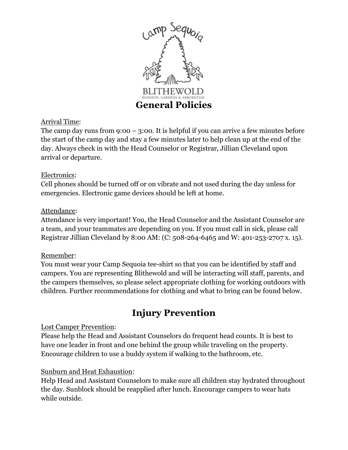

## Arrival Time:

The camp day runs from  $9:00 - 3:00$ . It is helpful if you can arrive a few minutes before the start of the camp day and stay a few minutes later to help clean up at the end of the day. Always check in with the Head Counselor or Registrar, Jillian Cleveland upon arrival or departure.

#### Electronics:

Cell phones should be turned off or on vibrate and not used during the day unless for emergencies. Electronic game devices should be left at home.

### Attendance:

Attendance is very important! You, the Head Counselor and the Assistant Counselor are a team, and your teammates are depending on you. If you must call in sick, please call Registrar Jillian Cleveland by 8:00 AM: (C: 508-264-6465 and W: 401-253-2707 x. 15).

### Remember:

You must wear your Camp Sequoia tee-shirt so that you can be identified by staff and campers. You are representing Blithewold and will be interacting will staff, parents, and the campers themselves, so please select appropriate clothing for working outdoors with children. Further recommendations for clothing and what to bring can be found below.

## **Injury Prevention**

### Lost Camper Prevention:

Please help the Head and Assistant Counselors do frequent head counts. It is best to have one leader in front and one behind the group while traveling on the property. Encourage children to use a buddy system if walking to the bathroom, etc.

### Sunburn and Heat Exhaustion:

Help Head and Assistant Counselors to make sure all children stay hydrated throughout the day. Sunblock should be reapplied after lunch. Encourage campers to wear hats while outside.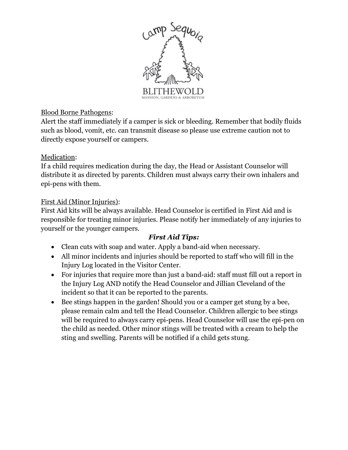

### Blood Borne Pathogens:

Alert the staff immediately if a camper is sick or bleeding. Remember that bodily fluids such as blood, vomit, etc. can transmit disease so please use extreme caution not to directly expose yourself or campers.

### Medication:

If a child requires medication during the day, the Head or Assistant Counselor will distribute it as directed by parents. Children must always carry their own inhalers and epi-pens with them.

### First Aid (Minor Injuries):

First Aid kits will be always available. Head Counselor is certified in First Aid and is responsible for treating minor injuries. Please notify her immediately of any injuries to yourself or the younger campers.

### *First Aid Tips:*

- Clean cuts with soap and water. Apply a band-aid when necessary.
- All minor incidents and injuries should be reported to staff who will fill in the Injury Log located in the Visitor Center.
- For injuries that require more than just a band-aid: staff must fill out a report in the Injury Log AND notify the Head Counselor and Jillian Cleveland of the incident so that it can be reported to the parents.
- Bee stings happen in the garden! Should you or a camper get stung by a bee, please remain calm and tell the Head Counselor. Children allergic to bee stings will be required to always carry epi-pens. Head Counselor will use the epi-pen on the child as needed. Other minor stings will be treated with a cream to help the sting and swelling. Parents will be notified if a child gets stung.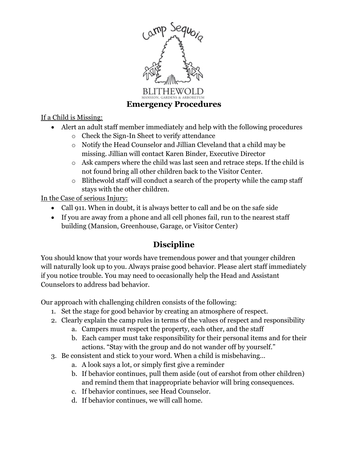

If a Child is Missing:

- Alert an adult staff member immediately and help with the following procedures
	- o Check the Sign-In Sheet to verify attendance
	- o Notify the Head Counselor and Jillian Cleveland that a child may be missing. Jillian will contact Karen Binder, Executive Director
	- o Ask campers where the child was last seen and retrace steps. If the child is not found bring all other children back to the Visitor Center.
	- o Blithewold staff will conduct a search of the property while the camp staff stays with the other children.

In the Case of serious Injury:

- Call 911. When in doubt, it is always better to call and be on the safe side
- If you are away from a phone and all cell phones fail, run to the nearest staff building (Mansion, Greenhouse, Garage, or Visitor Center)

## **Discipline**

You should know that your words have tremendous power and that younger children will naturally look up to you. Always praise good behavior. Please alert staff immediately if you notice trouble. You may need to occasionally help the Head and Assistant Counselors to address bad behavior.

Our approach with challenging children consists of the following:

- 1. Set the stage for good behavior by creating an atmosphere of respect.
- 2. Clearly explain the camp rules in terms of the values of respect and responsibility
	- a. Campers must respect the property, each other, and the staff
	- b. Each camper must take responsibility for their personal items and for their actions. "Stay with the group and do not wander off by yourself."
- 3. Be consistent and stick to your word. When a child is misbehaving…
	- a. A look says a lot, or simply first give a reminder
	- b. If behavior continues, pull them aside (out of earshot from other children) and remind them that inappropriate behavior will bring consequences.
	- c. If behavior continues, see Head Counselor.
	- d. If behavior continues, we will call home.